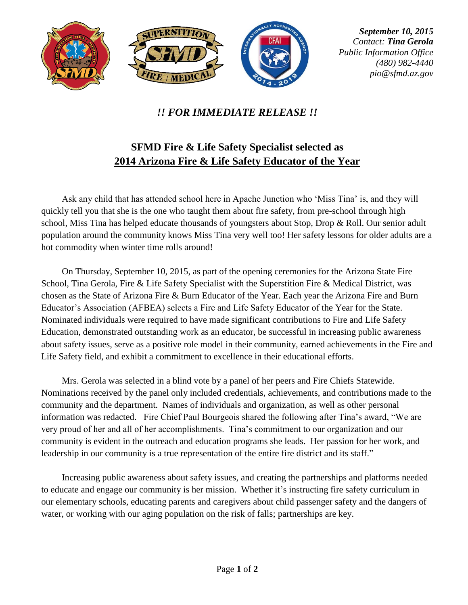

## *!! FOR IMMEDIATE RELEASE !!*

## **SFMD Fire & Life Safety Specialist selected as 2014 Arizona Fire & Life Safety Educator of the Year**

Ask any child that has attended school here in Apache Junction who 'Miss Tina' is, and they will quickly tell you that she is the one who taught them about fire safety, from pre-school through high school, Miss Tina has helped educate thousands of youngsters about Stop, Drop & Roll. Our senior adult population around the community knows Miss Tina very well too! Her safety lessons for older adults are a hot commodity when winter time rolls around!

On Thursday, September 10, 2015, as part of the opening ceremonies for the Arizona State Fire School, Tina Gerola, Fire & Life Safety Specialist with the Superstition Fire & Medical District, was chosen as the State of Arizona Fire & Burn Educator of the Year. Each year the Arizona Fire and Burn Educator's Association (AFBEA) selects a Fire and Life Safety Educator of the Year for the State. Nominated individuals were required to have made significant contributions to Fire and Life Safety Education, demonstrated outstanding work as an educator, be successful in increasing public awareness about safety issues, serve as a positive role model in their community, earned achievements in the Fire and Life Safety field, and exhibit a commitment to excellence in their educational efforts.

Mrs. Gerola was selected in a blind vote by a panel of her peers and Fire Chiefs Statewide. Nominations received by the panel only included credentials, achievements, and contributions made to the community and the department. Names of individuals and organization, as well as other personal information was redacted. Fire Chief Paul Bourgeois shared the following after Tina's award, "We are very proud of her and all of her accomplishments. Tina's commitment to our organization and our community is evident in the outreach and education programs she leads. Her passion for her work, and leadership in our community is a true representation of the entire fire district and its staff."

Increasing public awareness about safety issues, and creating the partnerships and platforms needed to educate and engage our community is her mission. Whether it's instructing fire safety curriculum in our elementary schools, educating parents and caregivers about child passenger safety and the dangers of water, or working with our aging population on the risk of falls; partnerships are key.